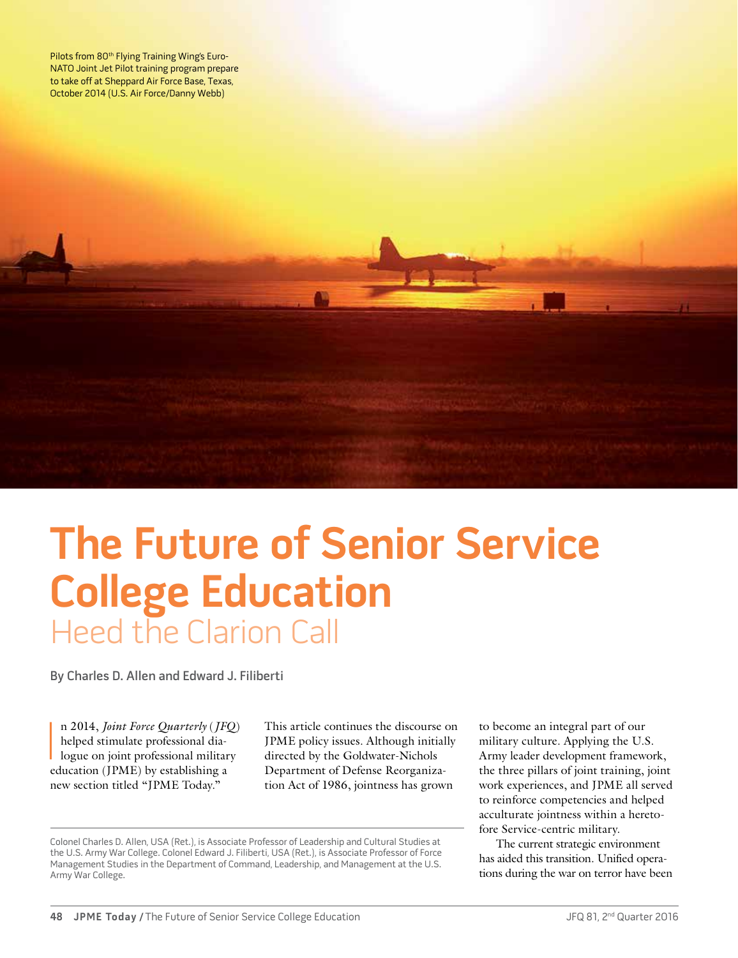Pilots from 80<sup>th</sup> Flying Training Wing's Euro-NATO Joint Jet Pilot training program prepare to take off at Sheppard Air Force Base, Texas, October 2014 (U.S. Air Force/Danny Webb)

**The Future of Senior Service College Education** Heed the Clarion Call

By Charles D. Allen and Edward J. Filiberti

n 2014, *Joint Force Quarterly* (*JFC*<br>helped stimulate professional dia-<br>logue on joint professional militar<br>education (JPME) by establishing a n 2014, *Joint Force Quarterly* (*JFQ*) helped stimulate professional dialogue on joint professional military new section titled "JPME Today."

This article continues the discourse on JPME policy issues. Although initially directed by the Goldwater-Nichols Department of Defense Reorganization Act of 1986, jointness has grown

Colonel Charles D. Allen, USA (Ret.), is Associate Professor of Leadership and Cultural Studies at the U.S. Army War College. Colonel Edward J. Filiberti, USA (Ret.), is Associate Professor of Force Management Studies in the Department of Command, Leadership, and Management at the U.S. Army War College.

to become an integral part of our military culture. Applying the U.S. Army leader development framework, the three pillars of joint training, joint work experiences, and JPME all served to reinforce competencies and helped acculturate jointness within a heretofore Service-centric military.

The current strategic environment has aided this transition. Unified operations during the war on terror have been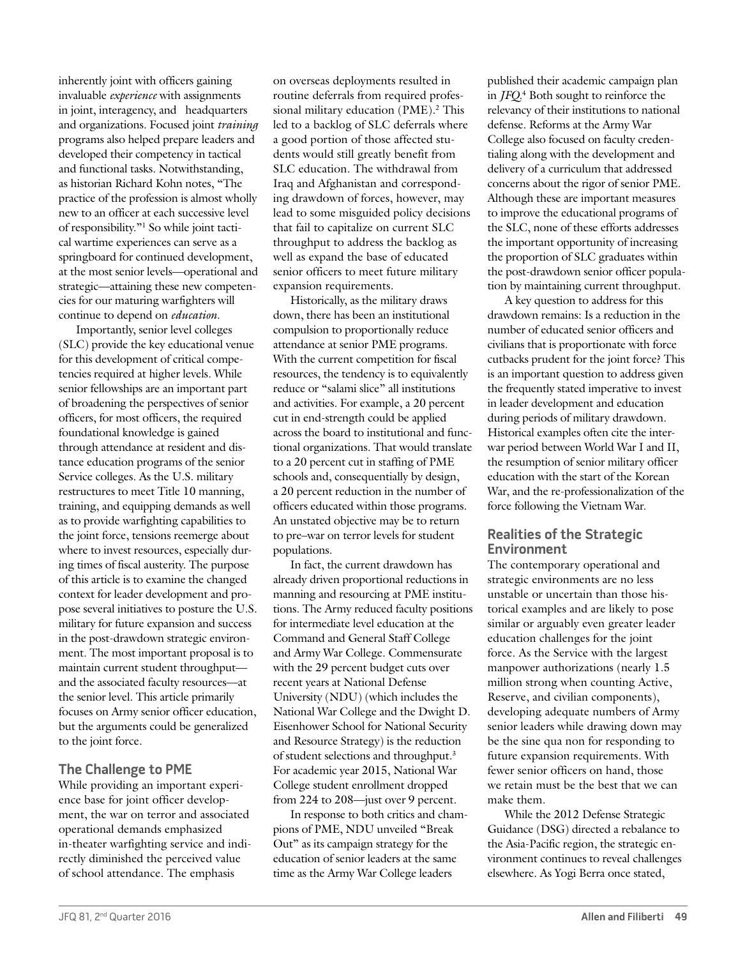inherently joint with officers gaining invaluable *experience* with assignments in joint, interagency, and headquarters and organizations. Focused joint *training* programs also helped prepare leaders and developed their competency in tactical and functional tasks. Notwithstanding, as historian Richard Kohn notes, "The practice of the profession is almost wholly new to an officer at each successive level of responsibility."1 So while joint tactical wartime experiences can serve as a springboard for continued development, at the most senior levels—operational and strategic—attaining these new competencies for our maturing warfighters will continue to depend on *education*.

Importantly, senior level colleges (SLC) provide the key educational venue for this development of critical competencies required at higher levels. While senior fellowships are an important part of broadening the perspectives of senior officers, for most officers, the required foundational knowledge is gained through attendance at resident and distance education programs of the senior Service colleges. As the U.S. military restructures to meet Title 10 manning, training, and equipping demands as well as to provide warfighting capabilities to the joint force, tensions reemerge about where to invest resources, especially during times of fiscal austerity. The purpose of this article is to examine the changed context for leader development and propose several initiatives to posture the U.S. military for future expansion and success in the post-drawdown strategic environment. The most important proposal is to maintain current student throughput and the associated faculty resources—at the senior level. This article primarily focuses on Army senior officer education, but the arguments could be generalized to the joint force.

## **The Challenge to PME**

While providing an important experience base for joint officer development, the war on terror and associated operational demands emphasized in-theater warfighting service and indirectly diminished the perceived value of school attendance. The emphasis

on overseas deployments resulted in routine deferrals from required professional military education (PME).<sup>2</sup> This led to a backlog of SLC deferrals where a good portion of those affected students would still greatly benefit from SLC education. The withdrawal from Iraq and Afghanistan and corresponding drawdown of forces, however, may lead to some misguided policy decisions that fail to capitalize on current SLC throughput to address the backlog as well as expand the base of educated senior officers to meet future military expansion requirements.

Historically, as the military draws down, there has been an institutional compulsion to proportionally reduce attendance at senior PME programs. With the current competition for fiscal resources, the tendency is to equivalently reduce or "salami slice" all institutions and activities. For example, a 20 percent cut in end-strength could be applied across the board to institutional and functional organizations. That would translate to a 20 percent cut in staffing of PME schools and, consequentially by design, a 20 percent reduction in the number of officers educated within those programs. An unstated objective may be to return to pre–war on terror levels for student populations.

In fact, the current drawdown has already driven proportional reductions in manning and resourcing at PME institutions. The Army reduced faculty positions for intermediate level education at the Command and General Staff College and Army War College. Commensurate with the 29 percent budget cuts over recent years at National Defense University (NDU) (which includes the National War College and the Dwight D. Eisenhower School for National Security and Resource Strategy) is the reduction of student selections and throughput.3 For academic year 2015, National War College student enrollment dropped from 224 to 208—just over 9 percent.

In response to both critics and champions of PME, NDU unveiled "Break Out" as its campaign strategy for the education of senior leaders at the same time as the Army War College leaders

published their academic campaign plan in *JFQ*. 4 Both sought to reinforce the relevancy of their institutions to national defense. Reforms at the Army War College also focused on faculty credentialing along with the development and delivery of a curriculum that addressed concerns about the rigor of senior PME. Although these are important measures to improve the educational programs of the SLC, none of these efforts addresses the important opportunity of increasing the proportion of SLC graduates within the post-drawdown senior officer population by maintaining current throughput.

A key question to address for this drawdown remains: Is a reduction in the number of educated senior officers and civilians that is proportionate with force cutbacks prudent for the joint force? This is an important question to address given the frequently stated imperative to invest in leader development and education during periods of military drawdown. Historical examples often cite the interwar period between World War I and II, the resumption of senior military officer education with the start of the Korean War, and the re-professionalization of the force following the Vietnam War.

## **Realities of the Strategic Environment**

The contemporary operational and strategic environments are no less unstable or uncertain than those historical examples and are likely to pose similar or arguably even greater leader education challenges for the joint force. As the Service with the largest manpower authorizations (nearly 1.5 million strong when counting Active, Reserve, and civilian components), developing adequate numbers of Army senior leaders while drawing down may be the sine qua non for responding to future expansion requirements. With fewer senior officers on hand, those we retain must be the best that we can make them.

While the 2012 Defense Strategic Guidance (DSG) directed a rebalance to the Asia-Pacific region, the strategic environment continues to reveal challenges elsewhere. As Yogi Berra once stated,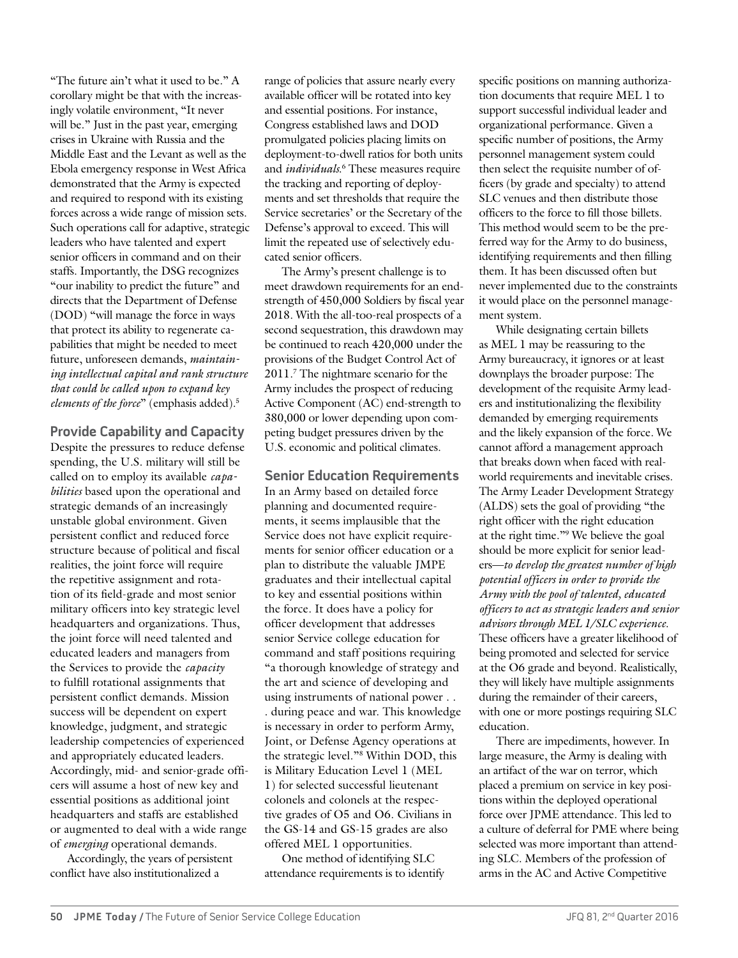"The future ain't what it used to be." A corollary might be that with the increasingly volatile environment, "It never will be." Just in the past year, emerging crises in Ukraine with Russia and the Middle East and the Levant as well as the Ebola emergency response in West Africa demonstrated that the Army is expected and required to respond with its existing forces across a wide range of mission sets. Such operations call for adaptive, strategic leaders who have talented and expert senior officers in command and on their staffs. Importantly, the DSG recognizes "our inability to predict the future" and directs that the Department of Defense (DOD) "will manage the force in ways that protect its ability to regenerate capabilities that might be needed to meet future, unforeseen demands, *maintaining intellectual capital and rank structure that could be called upon to expand key elements of the force*" (emphasis added).5

**Provide Capability and Capacity** Despite the pressures to reduce defense spending, the U.S. military will still be called on to employ its available *capabilities* based upon the operational and strategic demands of an increasingly unstable global environment. Given persistent conflict and reduced force structure because of political and fiscal realities, the joint force will require the repetitive assignment and rotation of its field-grade and most senior military officers into key strategic level headquarters and organizations. Thus, the joint force will need talented and educated leaders and managers from the Services to provide the *capacity* to fulfill rotational assignments that persistent conflict demands. Mission success will be dependent on expert knowledge, judgment, and strategic leadership competencies of experienced and appropriately educated leaders. Accordingly, mid- and senior-grade officers will assume a host of new key and essential positions as additional joint headquarters and staffs are established or augmented to deal with a wide range of *emerging* operational demands.

Accordingly, the years of persistent conflict have also institutionalized a

range of policies that assure nearly every available officer will be rotated into key and essential positions. For instance, Congress established laws and DOD promulgated policies placing limits on deployment-to-dwell ratios for both units and *individuals*. 6 These measures require the tracking and reporting of deployments and set thresholds that require the Service secretaries' or the Secretary of the Defense's approval to exceed. This will limit the repeated use of selectively educated senior officers.

The Army's present challenge is to meet drawdown requirements for an endstrength of 450,000 Soldiers by fiscal year 2018. With the all-too-real prospects of a second sequestration, this drawdown may be continued to reach 420,000 under the provisions of the Budget Control Act of 2011.7 The nightmare scenario for the Army includes the prospect of reducing Active Component (AC) end-strength to 380,000 or lower depending upon competing budget pressures driven by the U.S. economic and political climates.

**Senior Education Requirements** In an Army based on detailed force planning and documented requirements, it seems implausible that the Service does not have explicit requirements for senior officer education or a plan to distribute the valuable JMPE graduates and their intellectual capital to key and essential positions within the force. It does have a policy for officer development that addresses senior Service college education for command and staff positions requiring "a thorough knowledge of strategy and the art and science of developing and using instruments of national power . . . during peace and war. This knowledge is necessary in order to perform Army, Joint, or Defense Agency operations at the strategic level."8 Within DOD, this is Military Education Level 1 (MEL 1) for selected successful lieutenant colonels and colonels at the respective grades of O5 and O6. Civilians in the GS-14 and GS-15 grades are also offered MEL 1 opportunities.

One method of identifying SLC attendance requirements is to identify specific positions on manning authorization documents that require MEL 1 to support successful individual leader and organizational performance. Given a specific number of positions, the Army personnel management system could then select the requisite number of officers (by grade and specialty) to attend SLC venues and then distribute those officers to the force to fill those billets. This method would seem to be the preferred way for the Army to do business, identifying requirements and then filling them. It has been discussed often but never implemented due to the constraints it would place on the personnel management system.

While designating certain billets as MEL 1 may be reassuring to the Army bureaucracy, it ignores or at least downplays the broader purpose: The development of the requisite Army leaders and institutionalizing the flexibility demanded by emerging requirements and the likely expansion of the force. We cannot afford a management approach that breaks down when faced with realworld requirements and inevitable crises. The Army Leader Development Strategy (ALDS) sets the goal of providing "the right officer with the right education at the right time."9 We believe the goal should be more explicit for senior leaders—*to develop the greatest number of high potential officers in order to provide the Army with the pool of talented, educated officers to act as strategic leaders and senior advisors through MEL 1/SLC experience*. These officers have a greater likelihood of being promoted and selected for service at the O6 grade and beyond. Realistically, they will likely have multiple assignments during the remainder of their careers, with one or more postings requiring SLC education.

There are impediments, however. In large measure, the Army is dealing with an artifact of the war on terror, which placed a premium on service in key positions within the deployed operational force over JPME attendance. This led to a culture of deferral for PME where being selected was more important than attending SLC. Members of the profession of arms in the AC and Active Competitive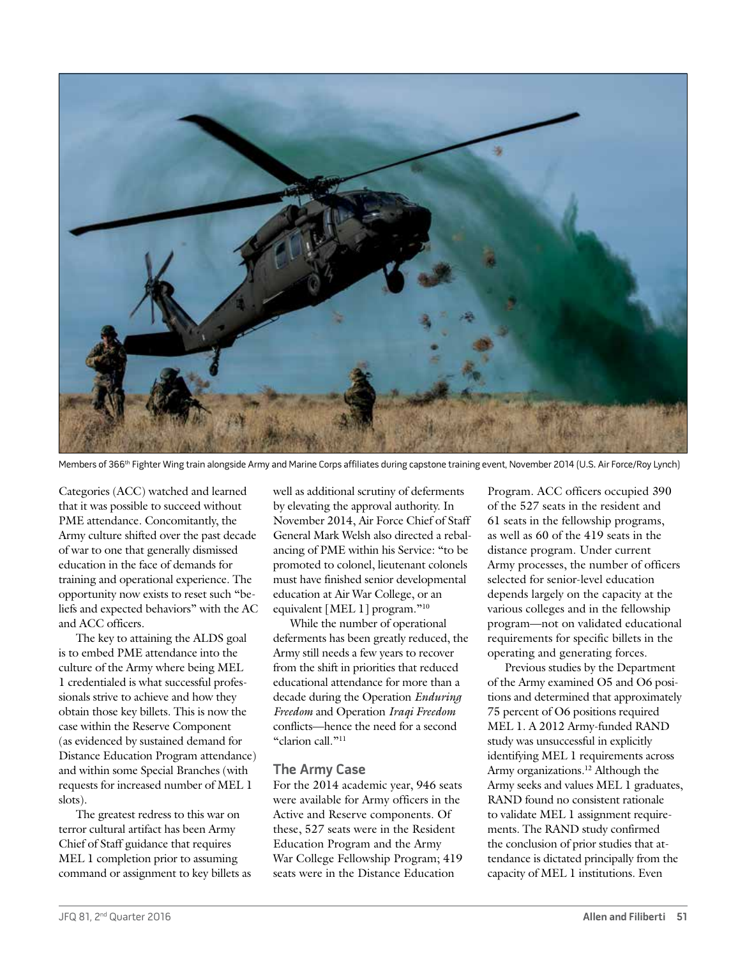

Members of 366<sup>th</sup> Fighter Wing train alongside Army and Marine Corps affiliates during capstone training event, November 2014 (U.S. Air Force/Roy Lynch)

Categories (ACC) watched and learned that it was possible to succeed without PME attendance. Concomitantly, the Army culture shifted over the past decade of war to one that generally dismissed education in the face of demands for training and operational experience. The opportunity now exists to reset such "beliefs and expected behaviors" with the AC and ACC officers.

The key to attaining the ALDS goal is to embed PME attendance into the culture of the Army where being MEL 1 credentialed is what successful professionals strive to achieve and how they obtain those key billets. This is now the case within the Reserve Component (as evidenced by sustained demand for Distance Education Program attendance) and within some Special Branches (with requests for increased number of MEL 1 slots).

The greatest redress to this war on terror cultural artifact has been Army Chief of Staff guidance that requires MEL 1 completion prior to assuming command or assignment to key billets as well as additional scrutiny of deferments by elevating the approval authority. In November 2014, Air Force Chief of Staff General Mark Welsh also directed a rebalancing of PME within his Service: "to be promoted to colonel, lieutenant colonels must have finished senior developmental education at Air War College, or an equivalent [MEL 1] program."10

While the number of operational deferments has been greatly reduced, the Army still needs a few years to recover from the shift in priorities that reduced educational attendance for more than a decade during the Operation *Enduring Freedom* and Operation *Iraqi Freedom* conflicts—hence the need for a second "clarion call."11

## **The Army Case**

For the 2014 academic year, 946 seats were available for Army officers in the Active and Reserve components. Of these, 527 seats were in the Resident Education Program and the Army War College Fellowship Program; 419 seats were in the Distance Education

Program. ACC officers occupied 390 of the 527 seats in the resident and 61 seats in the fellowship programs, as well as 60 of the 419 seats in the distance program. Under current Army processes, the number of officers selected for senior-level education depends largely on the capacity at the various colleges and in the fellowship program—not on validated educational requirements for specific billets in the operating and generating forces.

Previous studies by the Department of the Army examined O5 and O6 positions and determined that approximately 75 percent of O6 positions required MEL 1. A 2012 Army-funded RAND study was unsuccessful in explicitly identifying MEL 1 requirements across Army organizations.<sup>12</sup> Although the Army seeks and values MEL 1 graduates, RAND found no consistent rationale to validate MEL 1 assignment requirements. The RAND study confirmed the conclusion of prior studies that attendance is dictated principally from the capacity of MEL 1 institutions. Even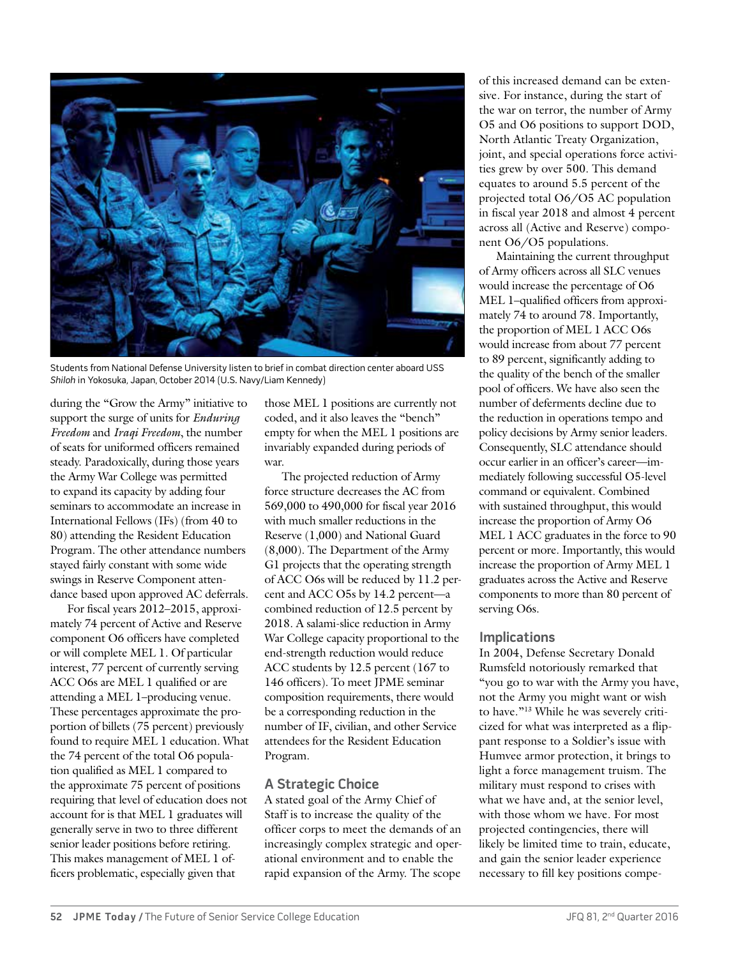

Students from National Defense University listen to brief in combat direction center aboard USS Shiloh in Yokosuka, Japan, October 2014 (U.S. Navy/Liam Kennedy)

during the "Grow the Army" initiative to support the surge of units for *Enduring Freedom* and *Iraqi Freedom*, the number of seats for uniformed officers remained steady. Paradoxically, during those years the Army War College was permitted to expand its capacity by adding four seminars to accommodate an increase in International Fellows (IFs) (from 40 to 80) attending the Resident Education Program. The other attendance numbers stayed fairly constant with some wide swings in Reserve Component attendance based upon approved AC deferrals.

For fiscal years 2012–2015, approximately 74 percent of Active and Reserve component O6 officers have completed or will complete MEL 1. Of particular interest, 77 percent of currently serving ACC O6s are MEL 1 qualified or are attending a MEL 1–producing venue. These percentages approximate the proportion of billets (75 percent) previously found to require MEL 1 education. What the 74 percent of the total O6 population qualified as MEL 1 compared to the approximate 75 percent of positions requiring that level of education does not account for is that MEL 1 graduates will generally serve in two to three different senior leader positions before retiring. This makes management of MEL 1 officers problematic, especially given that

those MEL 1 positions are currently not coded, and it also leaves the "bench" empty for when the MEL 1 positions are invariably expanded during periods of war.

The projected reduction of Army force structure decreases the AC from 569,000 to 490,000 for fiscal year 2016 with much smaller reductions in the Reserve (1,000) and National Guard (8,000). The Department of the Army G1 projects that the operating strength of ACC O6s will be reduced by 11.2 percent and ACC O5s by 14.2 percent—a combined reduction of 12.5 percent by 2018. A salami-slice reduction in Army War College capacity proportional to the end-strength reduction would reduce ACC students by 12.5 percent (167 to 146 officers). To meet JPME seminar composition requirements, there would be a corresponding reduction in the number of IF, civilian, and other Service attendees for the Resident Education Program.

# **A Strategic Choice**

A stated goal of the Army Chief of Staff is to increase the quality of the officer corps to meet the demands of an increasingly complex strategic and operational environment and to enable the rapid expansion of the Army. The scope

of this increased demand can be extensive. For instance, during the start of the war on terror, the number of Army O5 and O6 positions to support DOD, North Atlantic Treaty Organization, joint, and special operations force activities grew by over 500. This demand equates to around 5.5 percent of the projected total O6/O5 AC population in fiscal year 2018 and almost 4 percent across all (Active and Reserve) component O6/O5 populations.

Maintaining the current throughput of Army officers across all SLC venues would increase the percentage of O6 MEL 1–qualified officers from approximately 74 to around 78. Importantly, the proportion of MEL 1 ACC O6s would increase from about 77 percent to 89 percent, significantly adding to the quality of the bench of the smaller pool of officers. We have also seen the number of deferments decline due to the reduction in operations tempo and policy decisions by Army senior leaders. Consequently, SLC attendance should occur earlier in an officer's career—immediately following successful O5-level command or equivalent. Combined with sustained throughput, this would increase the proportion of Army O6 MEL 1 ACC graduates in the force to 90 percent or more. Importantly, this would increase the proportion of Army MEL 1 graduates across the Active and Reserve components to more than 80 percent of serving O6s.

## **Implications**

In 2004, Defense Secretary Donald Rumsfeld notoriously remarked that "you go to war with the Army you have, not the Army you might want or wish to have."13 While he was severely criticized for what was interpreted as a flippant response to a Soldier's issue with Humvee armor protection, it brings to light a force management truism. The military must respond to crises with what we have and, at the senior level, with those whom we have. For most projected contingencies, there will likely be limited time to train, educate, and gain the senior leader experience necessary to fill key positions compe-